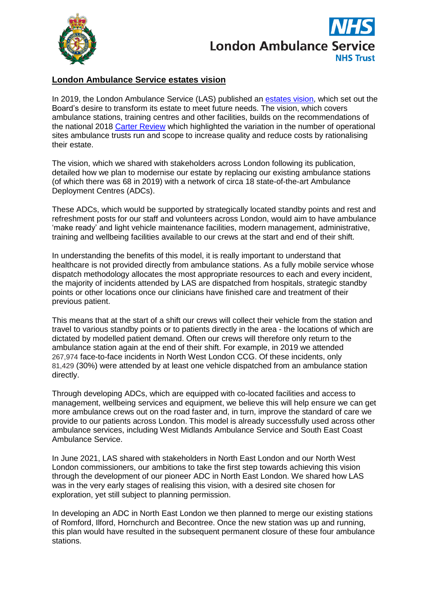



## **London Ambulance Service estates vision**

In 2019, the London Ambulance Service (LAS) published an [estates](https://www.londonambulance.nhs.uk/about-us/our-plans-for-the-future/our-estates-vision/) vision, which set out the Board's desire to transform its estate to meet future needs. The vision, which covers ambulance stations, training centres and other facilities, builds on the recommendations of the national 2018 Carter [Review](https://www.england.nhs.uk/publication/lord-carters-review-into-unwarranted-variation-in-nhs-ambulance-trusts/) which highlighted the variation in the number of operational sites ambulance trusts run and scope to increase quality and reduce costs by rationalising their estate.

The vision, which we shared with stakeholders across London following its publication, detailed how we plan to modernise our estate by replacing our existing ambulance stations (of which there was 68 in 2019) with a network of circa 18 state-of-the-art Ambulance Deployment Centres (ADCs).

These ADCs, which would be supported by strategically located standby points and rest and refreshment posts for our staff and volunteers across London, would aim to have ambulance 'make ready' and light vehicle maintenance facilities, modern management, administrative, training and wellbeing facilities available to our crews at the start and end of their shift.

In understanding the benefits of this model, it is really important to understand that healthcare is not provided directly from ambulance stations. As a fully mobile service whose dispatch methodology allocates the most appropriate resources to each and every incident, the majority of incidents attended by LAS are dispatched from hospitals, strategic standby points or other locations once our clinicians have finished care and treatment of their previous patient.

This means that at the start of a shift our crews will collect their vehicle from the station and travel to various standby points or to patients directly in the area - the locations of which are dictated by modelled patient demand. Often our crews will therefore only return to the ambulance station again at the end of their shift. For example, in 2019 we attended 267,974 face-to-face incidents in North West London CCG. Of these incidents, only 81,429 (30%) were attended by at least one vehicle dispatched from an ambulance station directly.

Through developing ADCs, which are equipped with co-located facilities and access to management, wellbeing services and equipment, we believe this will help ensure we can get more ambulance crews out on the road faster and, in turn, improve the standard of care we provide to our patients across London. This model is already successfully used across other ambulance services, including West Midlands Ambulance Service and South East Coast Ambulance Service.

In June 2021, LAS shared with stakeholders in North East London and our North West London commissioners, our ambitions to take the first step towards achieving this vision through the development of our pioneer ADC in North East London. We shared how LAS was in the very early stages of realising this vision, with a desired site chosen for exploration, yet still subject to planning permission.

In developing an ADC in North East London we then planned to merge our existing stations of Romford, Ilford, Hornchurch and Becontree. Once the new station was up and running, this plan would have resulted in the subsequent permanent closure of these four ambulance stations.